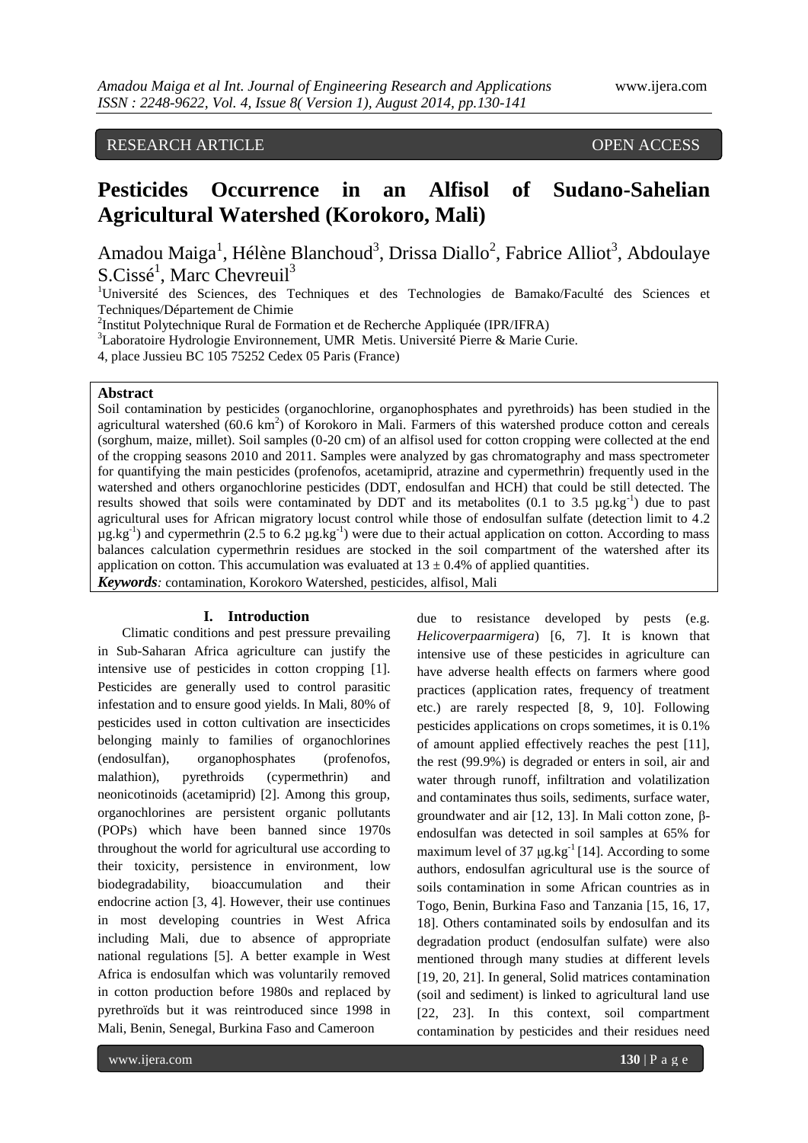# RESEARCH ARTICLE OPEN ACCESS

# **Pesticides Occurrence in an Alfisol of Sudano-Sahelian Agricultural Watershed (Korokoro, Mali)**

Amadou Maiga<sup>1</sup>, Hélène Blanchoud<sup>3</sup>, Drissa Diallo<sup>2</sup>, Fabrice Alliot<sup>3</sup>, Abdoulaye S.Cissé<sup>1</sup>, Marc Chevreuil<sup>3</sup>

<sup>1</sup>Université des Sciences, des Techniques et des Technologies de Bamako/Faculté des Sciences et Techniques/Département de Chimie

<sup>2</sup>Institut Polytechnique Rural de Formation et de Recherche Appliquée (IPR/IFRA)

<sup>3</sup>Laboratoire Hydrologie Environnement, UMR Metis. Université Pierre & Marie Curie.

4, place Jussieu BC 105 75252 Cedex 05 Paris (France)

# **Abstract**

Soil contamination by pesticides (organochlorine, organophosphates and pyrethroids) has been studied in the agricultural watershed (60.6 km<sup>2</sup>) of Korokoro in Mali. Farmers of this watershed produce cotton and cereals (sorghum, maize, millet). Soil samples (0-20 cm) of an alfisol used for cotton cropping were collected at the end of the cropping seasons 2010 and 2011. Samples were analyzed by gas chromatography and mass spectrometer for quantifying the main pesticides (profenofos, acetamiprid, atrazine and cypermethrin) frequently used in the watershed and others organochlorine pesticides (DDT, endosulfan and HCH) that could be still detected. The results showed that soils were contaminated by DDT and its metabolites  $(0.1 \text{ to } 3.5 \mu g/kg^{-1})$  due to past agricultural uses for African migratory locust control while those of endosulfan sulfate (detection limit to 4.2  $\mu$ g.kg<sup>-1</sup>) and cypermethrin (2.5 to 6.2  $\mu$ g.kg<sup>-1</sup>) were due to their actual application on cotton. According to mass balances calculation cypermethrin residues are stocked in the soil compartment of the watershed after its application on cotton. This accumulation was evaluated at  $13 \pm 0.4\%$  of applied quantities. *Keywords:* contamination, Korokoro Watershed, pesticides, alfisol, Mali

# **I. Introduction**

Climatic conditions and pest pressure prevailing in Sub-Saharan Africa agriculture can justify the intensive use of pesticides in cotton cropping [1]. Pesticides are generally used to control parasitic infestation and to ensure good yields. In Mali, 80% of pesticides used in cotton cultivation are insecticides belonging mainly to families of organochlorines (endosulfan), organophosphates (profenofos, malathion), pyrethroids (cypermethrin) and neonicotinoids (acetamiprid) [2]. Among this group, organochlorines are persistent organic pollutants (POPs) which have been banned since 1970s throughout the world for agricultural use according to their toxicity, persistence in environment, low biodegradability, bioaccumulation and their endocrine action [3, 4]. However, their use continues in most developing countries in West Africa including Mali, due to absence of appropriate national regulations [5]. A better example in West Africa is endosulfan which was voluntarily removed in cotton production before 1980s and replaced by pyrethroïds but it was reintroduced since 1998 in Mali, Benin, Senegal, Burkina Faso and Cameroon

due to resistance developed by pests (e.g. *Helicoverpaarmigera*) [6, 7]. It is known that intensive use of these pesticides in agriculture can have adverse health effects on farmers where good practices (application rates, frequency of treatment etc.) are rarely respected [8, 9, 10]. Following pesticides applications on crops sometimes, it is 0.1% of amount applied effectively reaches the pest [11], the rest (99.9%) is degraded or enters in soil, air and water through runoff, infiltration and volatilization and contaminates thus soils, sediments, surface water, groundwater and air [12, 13]. In Mali cotton zone, βendosulfan was detected in soil samples at 65% for maximum level of 37  $\mu$ g.kg<sup>-1</sup> [14]. According to some authors, endosulfan agricultural use is the source of soils contamination in some African countries as in Togo, Benin, Burkina Faso and Tanzania [15, 16, 17, 18]. Others contaminated soils by endosulfan and its degradation product (endosulfan sulfate) were also mentioned through many studies at different levels [19, 20, 21]. In general, Solid matrices contamination (soil and sediment) is linked to agricultural land use [22, 23]. In this context, soil compartment contamination by pesticides and their residues need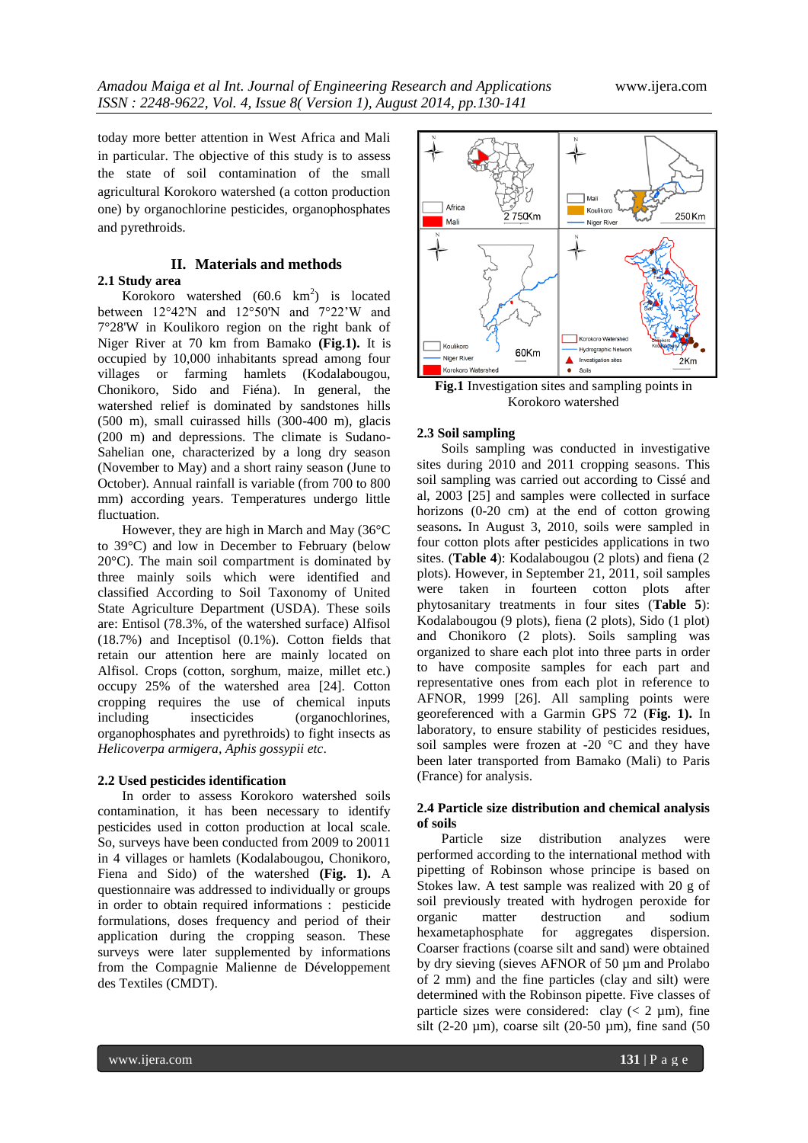today more better attention in West Africa and Mali in particular. The objective of this study is to assess the state of soil contamination of the small agricultural Korokoro watershed (a cotton production one) by organochlorine pesticides, organophosphates and pyrethroids.

# **II. Materials and methods**

**2.1 Study area** Korokoro watershed  $(60.6 \text{ km}^2)$  is located between 12°42'N and 12°50'N and 7°22'W and 7°28'W in Koulikoro region on the right bank of Niger River at 70 km from Bamako **(Fig.1).** It is occupied by 10,000 inhabitants spread among four villages or farming hamlets (Kodalabougou, Chonikoro, Sido and Fiéna). In general, the watershed relief is dominated by sandstones hills (500 m), small cuirassed hills (300-400 m), glacis (200 m) and depressions. The climate is Sudano-Sahelian one, characterized by a long dry season (November to May) and a short rainy season (June to October). Annual rainfall is variable (from 700 to 800 mm) according years. Temperatures undergo little fluctuation.

However, they are high in March and May (36°C to 39°C) and low in December to February (below 20°C). The main soil compartment is dominated by three mainly soils which were identified and classified According to Soil Taxonomy of United State Agriculture Department (USDA). These soils are: Entisol (78.3%, of the watershed surface) Alfisol (18.7%) and Inceptisol (0.1%). Cotton fields that retain our attention here are mainly located on Alfisol. Crops (cotton, sorghum, maize, millet etc.) occupy 25% of the watershed area [24]. Cotton cropping requires the use of chemical inputs including insecticides (organochlorines, organophosphates and pyrethroids) to fight insects as *Helicoverpa armigera, Aphis gossypii etc*.

## **2.2 Used pesticides identification**

In order to assess Korokoro watershed soils contamination, it has been necessary to identify pesticides used in cotton production at local scale. So, surveys have been conducted from 2009 to 20011 in 4 villages or hamlets (Kodalabougou, Chonikoro, Fiena and Sido) of the watershed **(Fig. 1).** A questionnaire was addressed to individually or groups in order to obtain required informations : pesticide formulations, doses frequency and period of their application during the cropping season. These surveys were later supplemented by informations from the Compagnie Malienne de Développement des Textiles (CMDT).



**Fig.1** Investigation sites and sampling points in Korokoro watershed

#### **2.3 Soil sampling**

Soils sampling was conducted in investigative sites during 2010 and 2011 cropping seasons. This soil sampling was carried out according to Cissé and al, 2003 [25] and samples were collected in surface horizons (0-20 cm) at the end of cotton growing seasons**.** In August 3, 2010, soils were sampled in four cotton plots after pesticides applications in two sites. (**Table 4**): Kodalabougou (2 plots) and fiena (2 plots). However, in September 21, 2011, soil samples were taken in fourteen cotton plots after phytosanitary treatments in four sites (**Table 5**): Kodalabougou (9 plots), fiena (2 plots), Sido (1 plot) and Chonikoro (2 plots). Soils sampling was organized to share each plot into three parts in order to have composite samples for each part and representative ones from each plot in reference to AFNOR, 1999 [26]. All sampling points were georeferenced with a Garmin GPS 72 (**Fig. 1).** In laboratory, to ensure stability of pesticides residues, soil samples were frozen at -20 °C and they have been later transported from Bamako (Mali) to Paris (France) for analysis.

# **2.4 Particle size distribution and chemical analysis of soils**

Particle size distribution analyzes were performed according to the international method with pipetting of Robinson whose principe is based on Stokes law. A test sample was realized with 20 g of soil previously treated with hydrogen peroxide for organic matter destruction and sodium hexametaphosphate for aggregates dispersion. Coarser fractions (coarse silt and sand) were obtained by dry sieving (sieves AFNOR of 50 um and Prolabo of 2 mm) and the fine particles (clay and silt) were determined with the Robinson pipette. Five classes of particle sizes were considered: clay  $(< 2 \mu m)$ , fine silt (2-20  $\mu$ m), coarse silt (20-50  $\mu$ m), fine sand (50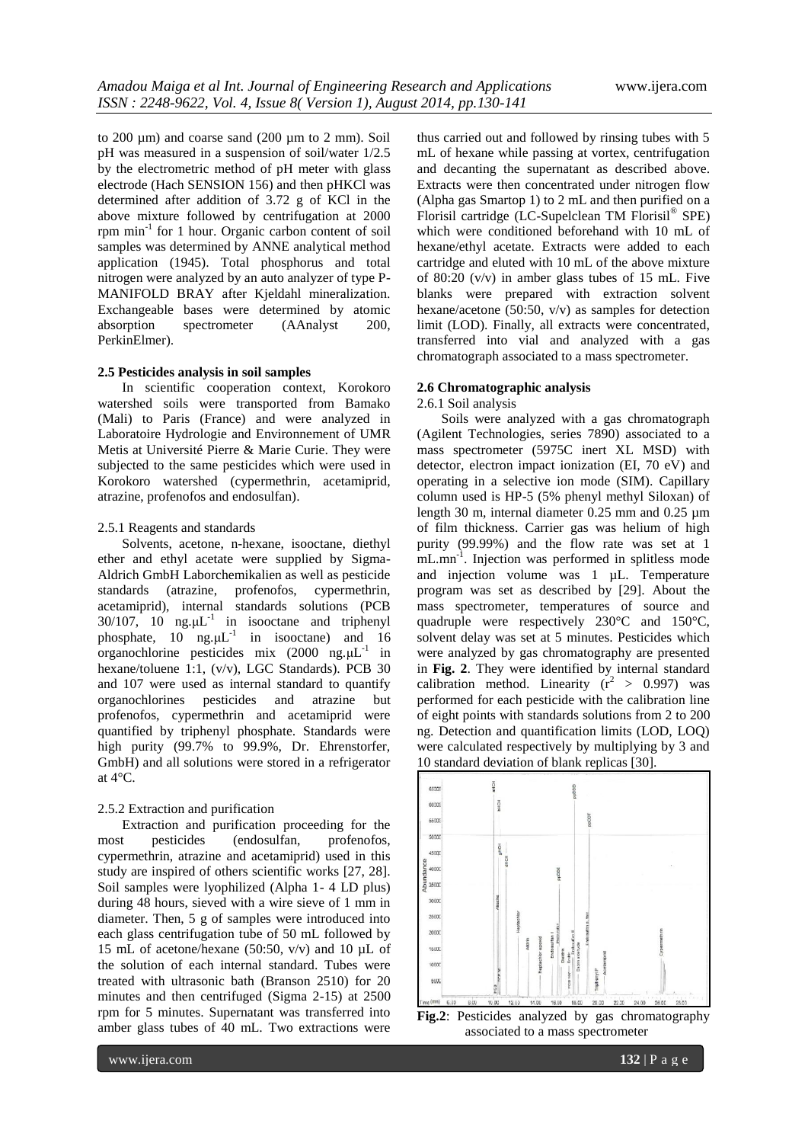to 200 µm) and coarse sand (200 µm to 2 mm). Soil pH was measured in a suspension of soil/water 1/2.5 by the electrometric method of pH meter with glass electrode (Hach SENSION 156) and then pHKCl was determined after addition of 3.72 g of KCl in the above mixture followed by centrifugation at 2000 rpm min-1 for 1 hour. Organic carbon content of soil samples was determined by ANNE analytical method application (1945). Total phosphorus and total nitrogen were analyzed by an auto analyzer of type P-MANIFOLD BRAY after Kjeldahl mineralization. Exchangeable bases were determined by atomic absorption spectrometer (AAnalyst 200, PerkinElmer).

#### **2.5 Pesticides analysis in soil samples**

In scientific cooperation context, Korokoro watershed soils were transported from Bamako (Mali) to Paris (France) and were analyzed in Laboratoire Hydrologie and Environnement of UMR Metis at Université Pierre & Marie Curie. They were subjected to the same pesticides which were used in Korokoro watershed (cypermethrin, acetamiprid, atrazine, profenofos and endosulfan).

#### 2.5.1 Reagents and standards

Solvents, acetone, n-hexane, isooctane, diethyl ether and ethyl acetate were supplied by Sigma-Aldrich GmbH Laborchemikalien as well as pesticide standards (atrazine, profenofos, cypermethrin, acetamiprid), internal standards solutions (PCB  $30/107$ ,  $10$  ng. $\mu L^{-1}$  in isooctane and triphenyl phosphate,  $10$  ng. $\mu L^{-1}$  in isooctane) and 16 organochlorine pesticides mix  $(2000 \text{ ng.}\mu\text{L}^{-1})$  in hexane/toluene 1:1, (v/v), LGC Standards). PCB 30 and 107 were used as internal standard to quantify organochlorines pesticides and atrazine but profenofos, cypermethrin and acetamiprid were quantified by triphenyl phosphate. Standards were high purity (99.7% to 99.9%, Dr. Ehrenstorfer, GmbH) and all solutions were stored in a refrigerator at 4°C.

## 2.5.2 Extraction and purification

Extraction and purification proceeding for the most pesticides (endosulfan, profenofos, cypermethrin, atrazine and acetamiprid) used in this study are inspired of others scientific works [27, 28]. Soil samples were lyophilized (Alpha 1- 4 LD plus) during 48 hours, sieved with a wire sieve of 1 mm in diameter. Then, 5 g of samples were introduced into each glass centrifugation tube of 50 mL followed by 15 mL of acetone/hexane (50:50,  $v/v$ ) and 10  $\mu$ L of the solution of each internal standard. Tubes were treated with ultrasonic bath (Branson 2510) for 20 minutes and then centrifuged (Sigma 2-15) at 2500 rpm for 5 minutes. Supernatant was transferred into amber glass tubes of 40 mL. Two extractions were

thus carried out and followed by rinsing tubes with 5 mL of hexane while passing at vortex, centrifugation and decanting the supernatant as described above. Extracts were then concentrated under nitrogen flow (Alpha gas Smartop 1) to 2 mL and then purified on a Florisil cartridge (LC-Supelclean TM Florisil® SPE) which were conditioned beforehand with 10 mL of hexane/ethyl acetate. Extracts were added to each cartridge and eluted with 10 mL of the above mixture of 80:20 (v/v) in amber glass tubes of 15 mL. Five blanks were prepared with extraction solvent hexane/acetone (50:50,  $v/v$ ) as samples for detection limit (LOD). Finally, all extracts were concentrated, transferred into vial and analyzed with a gas chromatograph associated to a mass spectrometer.

#### **2.6 Chromatographic analysis**

2.6.1 Soil analysis

Soils were analyzed with a gas chromatograph (Agilent Technologies, series 7890) associated to a mass spectrometer (5975C inert XL MSD) with detector, electron impact ionization (EI, 70 eV) and operating in a selective ion mode (SIM). Capillary column used is HP-5 (5% phenyl methyl Siloxan) of length 30 m, internal diameter 0.25 mm and 0.25 µm of film thickness. Carrier gas was helium of high purity (99.99%) and the flow rate was set at 1 mL.mn<sup>-1</sup>. Injection was performed in splitless mode and injection volume was 1 µL. Temperature program was set as described by [29]. About the mass spectrometer, temperatures of source and quadruple were respectively 230°C and 150°C, solvent delay was set at 5 minutes. Pesticides which were analyzed by gas chromatography are presented in **Fig. 2**. They were identified by internal standard calibration method. Linearity  $(r^2 > 0.997)$  was performed for each pesticide with the calibration line of eight points with standards solutions from 2 to 200 ng. Detection and quantification limits (LOD, LOQ) were calculated respectively by multiplying by 3 and 10 standard deviation of blank replicas [30].



**Fig.2**: Pesticides analyzed by gas chromatography associated to a mass spectrometer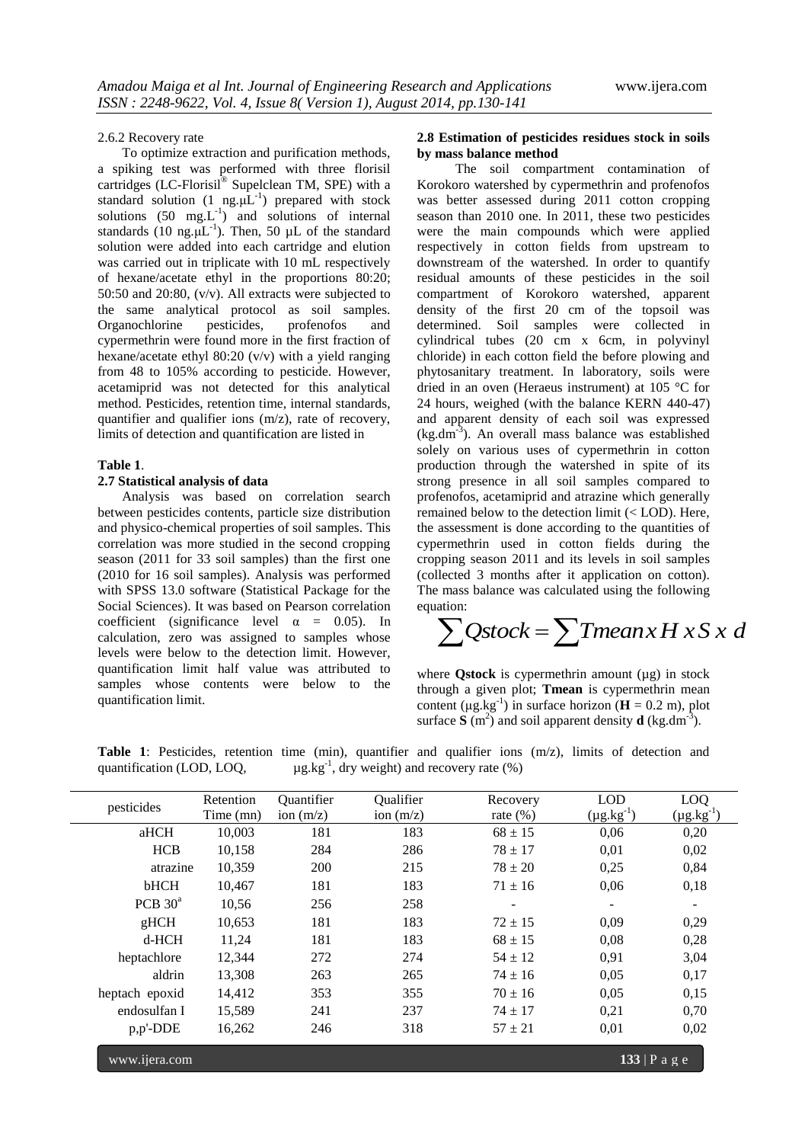#### 2.6.2 Recovery rate

To optimize extraction and purification methods, a spiking test was performed with three florisil cartridges (LC-Florisil® Supelclean TM, SPE) with a standard solution  $(1 \text{ ng.}\mu L^{-1})$  prepared with stock solutions  $(50 \text{ mg.L}^{-1})$  and solutions of internal standards (10 ng. $\mu L^{-1}$ ). Then, 50  $\mu L$  of the standard solution were added into each cartridge and elution was carried out in triplicate with 10 mL respectively of hexane/acetate ethyl in the proportions 80:20; 50:50 and 20:80, (v/v). All extracts were subjected to the same analytical protocol as soil samples.<br>Organochlorine pesticides, profenofos and Organochlorine pesticides, profenofos and cypermethrin were found more in the first fraction of hexane/acetate ethyl 80:20 (v/v) with a yield ranging from 48 to 105% according to pesticide. However, acetamiprid was not detected for this analytical method. Pesticides, retention time, internal standards, quantifier and qualifier ions (m/z), rate of recovery, limits of detection and quantification are listed in

#### **Table 1**.

# **2.7 Statistical analysis of data**

Analysis was based on correlation search between pesticides contents, particle size distribution and physico-chemical properties of soil samples. This correlation was more studied in the second cropping season (2011 for 33 soil samples) than the first one (2010 for 16 soil samples). Analysis was performed with SPSS 13.0 software (Statistical Package for the Social Sciences). It was based on Pearson correlation coefficient (significance level  $\alpha = 0.05$ ). In calculation, zero was assigned to samples whose levels were below to the detection limit. However, quantification limit half value was attributed to samples whose contents were below to the quantification limit.

#### **2.8 Estimation of pesticides residues stock in soils by mass balance method**

The soil compartment contamination of Korokoro watershed by cypermethrin and profenofos was better assessed during 2011 cotton cropping season than 2010 one. In 2011, these two pesticides were the main compounds which were applied respectively in cotton fields from upstream to downstream of the watershed. In order to quantify residual amounts of these pesticides in the soil compartment of Korokoro watershed, apparent density of the first 20 cm of the topsoil was determined. Soil samples were collected in cylindrical tubes (20 cm x 6cm, in polyvinyl chloride) in each cotton field the before plowing and phytosanitary treatment. In laboratory, soils were dried in an oven (Heraeus instrument) at 105 °C for 24 hours, weighed (with the balance KERN 440-47) and apparent density of each soil was expressed  $(kg.dm<sup>-3</sup>)$ . An overall mass balance was established solely on various uses of cypermethrin in cotton production through the watershed in spite of its strong presence in all soil samples compared to profenofos, acetamiprid and atrazine which generally remained below to the detection limit (< LOD). Here, the assessment is done according to the quantities of cypermethrin used in cotton fields during the cropping season 2011 and its levels in soil samples (collected 3 months after it application on cotton). The mass balance was calculated using the following equation:

$$
\sum Qstock = \sum Tmean \times H \times S \times d
$$

where **Qstock** is cypermethrin amount (µg) in stock through a given plot; **Tmean** is cypermethrin mean content ( $\mu$ g.kg<sup>-1</sup>) in surface horizon ( $\mathbf{H} = 0.2$  m), plot surface  $\mathbf{S}$  (m<sup>2</sup>) and soil apparent density **d** (kg.dm<sup>-3</sup>).

**Table 1**: Pesticides, retention time (min), quantifier and qualifier ions (m/z), limits of detection and quantification (LOD, LOQ,  $\mu$ g.kg<sup>-1</sup>, dry weight) and recovery rate (%)

| pesticides     | Retention<br>Time (mn) | Quantifier<br>ion $(m/z)$ | Qualifier<br>ion $(m/z)$ | Recovery<br>rate $(\%)$ | <b>LOD</b><br>$(\mu g.kg^{-1})$ | LOQ<br>$(\mu g.kg^{-1})$ |
|----------------|------------------------|---------------------------|--------------------------|-------------------------|---------------------------------|--------------------------|
| aHCH           | 10,003                 | 181                       | 183                      | $68 \pm 15$             | 0,06                            | 0,20                     |
| <b>HCB</b>     | 10,158                 | 284                       | 286                      | $78 \pm 17$             | 0,01                            | 0,02                     |
| atrazine       | 10,359                 | 200                       | 215                      | $78 \pm 20$             | 0,25                            | 0,84                     |
| bHCH           | 10,467                 | 181                       | 183                      | $71 \pm 16$             | 0,06                            | 0,18                     |
| PCB $30^a$     | 10,56                  | 256                       | 258                      |                         |                                 |                          |
| gHCH           | 10,653                 | 181                       | 183                      | $72 \pm 15$             | 0,09                            | 0,29                     |
| $d-HCH$        | 11,24                  | 181                       | 183                      | $68 \pm 15$             | 0,08                            | 0,28                     |
| heptachlore    | 12,344                 | 272                       | 274                      | $54 \pm 12$             | 0,91                            | 3,04                     |
| aldrin         | 13,308                 | 263                       | 265                      | $74 \pm 16$             | 0,05                            | 0,17                     |
| heptach epoxid | 14,412                 | 353                       | 355                      | $70 \pm 16$             | 0,05                            | 0,15                     |
| endosulfan I   | 15,589                 | 241                       | 237                      | $74 \pm 17$             | 0,21                            | 0,70                     |
| $p, p'$ -DDE   | 16,262                 | 246                       | 318                      | $57 \pm 21$             | 0,01                            | 0,02                     |

www.ijera.com **133** | P a g e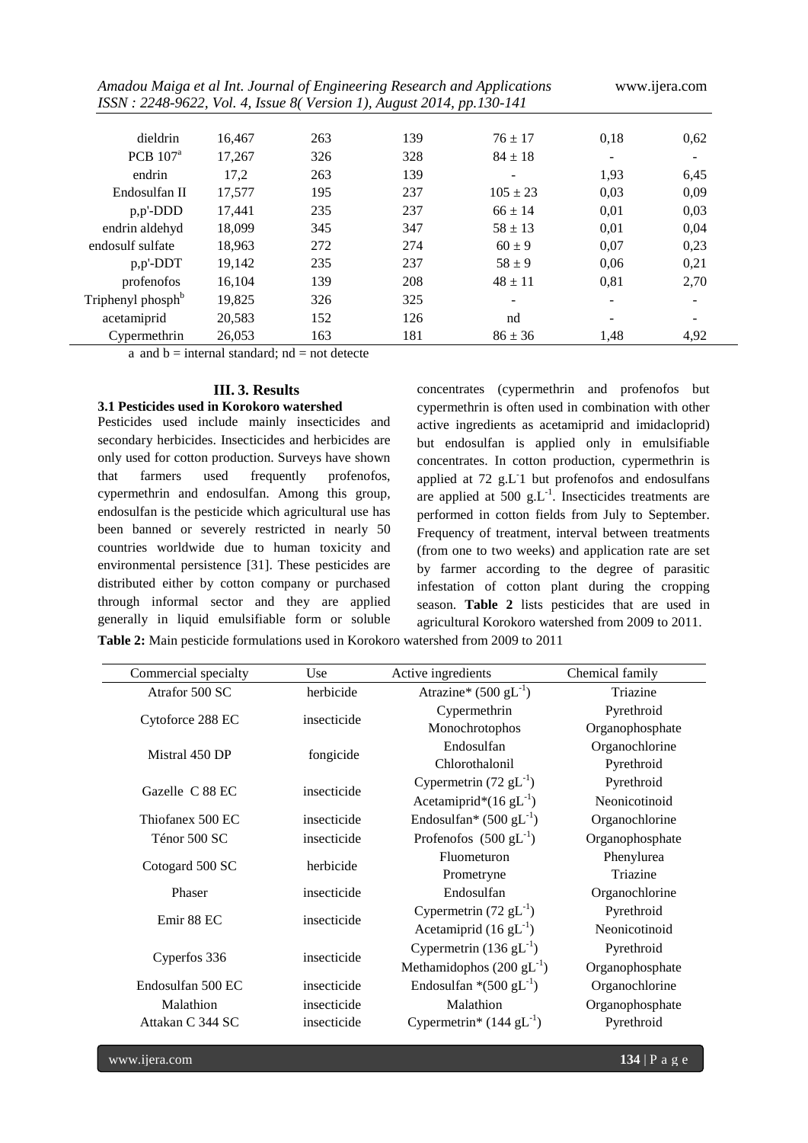| Amadou Maiga et al Int. Journal of Engineering Research and Applications<br>ISSN: 2248-9622, Vol. 4, Issue 8(Version 1), August 2014, pp.130-141 |        |     |     |                   |                          | www.ijera.com |
|--------------------------------------------------------------------------------------------------------------------------------------------------|--------|-----|-----|-------------------|--------------------------|---------------|
| dieldrin                                                                                                                                         | 16.467 | 263 | 139 | $76 \pm 17$       | 0,18                     | 0,62          |
| PCB $107a$                                                                                                                                       | 17,267 | 326 | 328 | $84 \pm 18$       | $\overline{\phantom{a}}$ |               |
| endrin                                                                                                                                           | 17.2   | 263 | 139 | $\qquad \qquad -$ | 1,93                     | 6,45          |
| Endosulfan II                                                                                                                                    | 17,577 | 195 | 237 | $105 \pm 23$      | 0,03                     | 0,09          |
| $p, p'$ -DDD                                                                                                                                     | 17,441 | 235 | 237 | $66 \pm 14$       | 0,01                     | 0,03          |
| endrin aldehyd                                                                                                                                   | 18.099 | 345 | 347 | $58 \pm 13$       | 0,01                     | 0,04          |
| endosulf sulfate                                                                                                                                 | 18,963 | 272 | 274 | $60 \pm 9$        | 0,07                     | 0,23          |
| $p, p'$ -DDT                                                                                                                                     | 19,142 | 235 | 237 | $58 + 9$          | 0,06                     | 0,21          |
| profenofos                                                                                                                                       | 16,104 | 139 | 208 | $48 \pm 11$       | 0,81                     | 2,70          |
| Triphenyl phosph <sup>b</sup>                                                                                                                    | 19,825 | 326 | 325 |                   |                          |               |
| acetamiprid                                                                                                                                      | 20,583 | 152 | 126 | nd                | $\overline{\phantom{0}}$ |               |
| Cypermethrin                                                                                                                                     | 26,053 | 163 | 181 | $86 \pm 36$       | 1,48                     | 4,92          |

a and  $b =$  internal standard;  $nd =$  not detecte

# **III. 3. Results**

# **3.1 Pesticides used in Korokoro watershed**

Pesticides used include mainly insecticides and secondary herbicides. Insecticides and herbicides are only used for cotton production. Surveys have shown that farmers used frequently profenofos, cypermethrin and endosulfan. Among this group, endosulfan is the pesticide which agricultural use has been banned or severely restricted in nearly 50 countries worldwide due to human toxicity and environmental persistence [31]. These pesticides are distributed either by cotton company or purchased through informal sector and they are applied generally in liquid emulsifiable form or soluble concentrates (cypermethrin and profenofos but cypermethrin is often used in combination with other active ingredients as acetamiprid and imidacloprid) but endosulfan is applied only in emulsifiable concentrates. In cotton production, cypermethrin is applied at 72 g.L-1 but profenofos and endosulfans are applied at 500  $g.L^{-1}$ . Insecticides treatments are performed in cotton fields from July to September. Frequency of treatment, interval between treatments (from one to two weeks) and application rate are set by farmer according to the degree of parasitic infestation of cotton plant during the cropping season. **Table 2** lists pesticides that are used in agricultural Korokoro watershed from 2009 to 2011.

**Table 2:** Main pesticide formulations used in Korokoro watershed from 2009 to 2011

| Commercial specialty | Use         | Active ingredients                               | Chemical family |
|----------------------|-------------|--------------------------------------------------|-----------------|
| Atrafor 500 SC       | herbicide   | Atrazine* $(500 \text{ gL}^{-1})$                | Triazine        |
|                      | insecticide | Cypermethrin                                     | Pyrethroid      |
| Cytoforce 288 EC     |             | Monochrotophos                                   | Organophosphate |
| Mistral 450 DP       | fongicide   | Endosulfan                                       | Organochlorine  |
|                      |             | Chlorothalonil                                   | Pyrethroid      |
| Gazelle C 88 EC      | insecticide | Cypermetrin $(72 \text{ gL}^{-1})$               | Pyrethroid      |
|                      |             | Acetamiprid* $(16 \text{ gL}^{-1})$              | Neonicotinoid   |
| Thiofanex 500 EC     | insecticide | Endosulfan <sup>*</sup> (500 gL <sup>-1</sup> )  | Organochlorine  |
| Ténor 500 SC         | insecticide | Profenofos $(500 \text{ gL}^{-1})$               | Organophosphate |
|                      | herbicide   | Fluometuron                                      | Phenylurea      |
| Cotogard 500 SC      |             | Prometryne                                       | Triazine        |
| Phaser               | insecticide | Endosulfan                                       | Organochlorine  |
| Emir 88 EC           | insecticide | Cypermetrin $(72 \text{ gL}^{-1})$               | Pyrethroid      |
|                      |             | Acetamiprid $(16 \text{ gL}^{-1})$               | Neonicotinoid   |
|                      |             | Cypermetrin $(136 \text{ gL}^{-1})$              | Pyrethroid      |
| Cyperfos 336         | insecticide | Methamidophos $(200 \text{ gL}^{-1})$            | Organophosphate |
| Endosulfan 500 EC    | insecticide | Endosulfan *(500 gL $^{-1}$ )                    | Organochlorine  |
| Malathion            | insecticide | Malathion                                        | Organophosphate |
| Attakan C 344 SC     | insecticide | Cypermetrin <sup>*</sup> $(144 \text{ gL}^{-1})$ | Pyrethroid      |
|                      |             |                                                  |                 |

www.ijera.com **134** | P a g e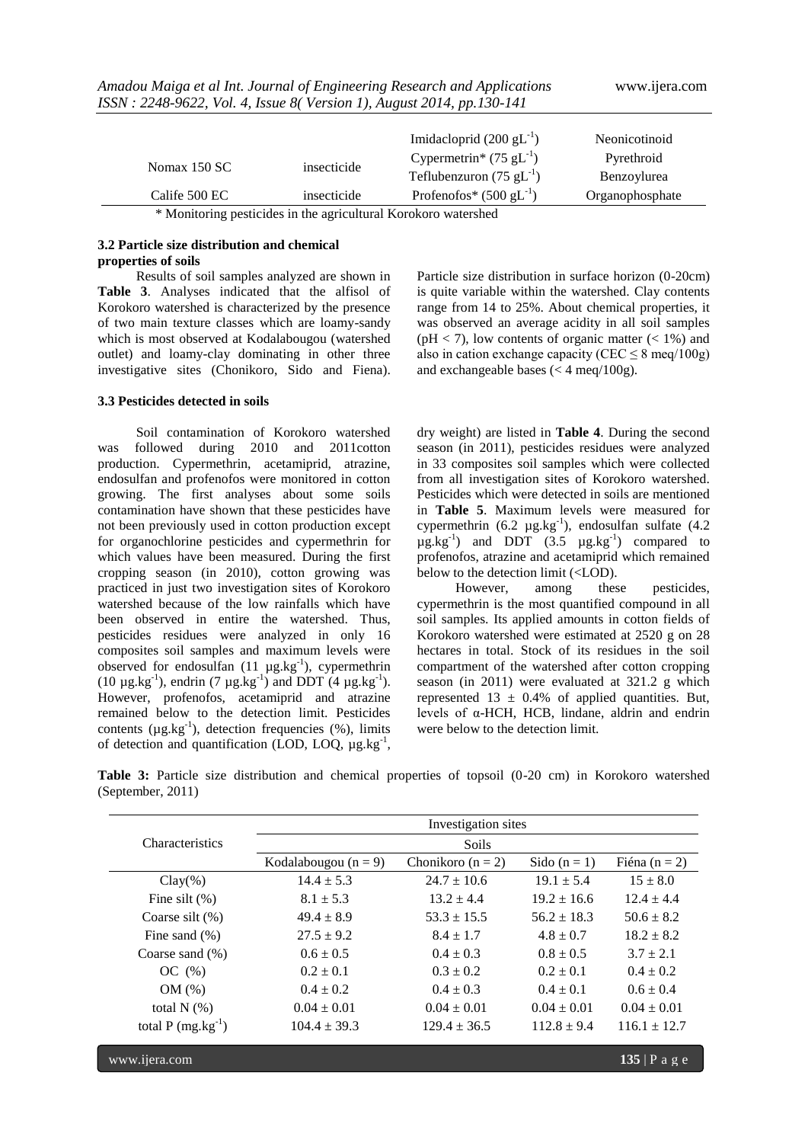|                                                                                                                                                                                                                                                                                                       |             | Imidacloprid $(200 \text{ gL}^{-1})$            | Neonicotinoid   |
|-------------------------------------------------------------------------------------------------------------------------------------------------------------------------------------------------------------------------------------------------------------------------------------------------------|-------------|-------------------------------------------------|-----------------|
|                                                                                                                                                                                                                                                                                                       | insecticide | Cypermetrin <sup>*</sup> (75 gL <sup>-1</sup> ) | Pyrethroid      |
| Nomax $150$ SC                                                                                                                                                                                                                                                                                        |             | Teflubenzuron (75 gL $^{-1}$ )                  | Benzoylurea     |
| Calife 500 EC                                                                                                                                                                                                                                                                                         | insecticide | Profenofos* $(500 \text{ gL}^{-1})$             | Organophosphate |
| $\mathbf{A}$ <b>M</b> $\mathbf{A}$ and $\mathbf{A}$ and $\mathbf{A}$ and $\mathbf{A}$ and $\mathbf{A}$ and $\mathbf{A}$ and $\mathbf{A}$ and $\mathbf{A}$ and $\mathbf{A}$ and $\mathbf{A}$ and $\mathbf{A}$ and $\mathbf{A}$ and $\mathbf{A}$ and $\mathbf{A}$ and $\mathbf{A}$ and $\mathbf{A}$ and |             |                                                 |                 |

*Amadou Maiga et al Int. Journal of Engineering Research and Applications* www.ijera.com *ISSN : 2248-9622, Vol. 4, Issue 8( Version 1), August 2014, pp.130-141*

\* Monitoring pesticides in the agricultural Korokoro watershed

# **3.2 Particle size distribution and chemical properties of soils**

Results of soil samples analyzed are shown in **Table 3**. Analyses indicated that the alfisol of Korokoro watershed is characterized by the presence of two main texture classes which are loamy-sandy which is most observed at Kodalabougou (watershed outlet) and loamy-clay dominating in other three investigative sites (Chonikoro, Sido and Fiena).

# **3.3 Pesticides detected in soils**

Soil contamination of Korokoro watershed was followed during 2010 and 2011cotton production. Cypermethrin, acetamiprid, atrazine, endosulfan and profenofos were monitored in cotton growing. The first analyses about some soils contamination have shown that these pesticides have not been previously used in cotton production except for organochlorine pesticides and cypermethrin for which values have been measured. During the first cropping season (in 2010), cotton growing was practiced in just two investigation sites of Korokoro watershed because of the low rainfalls which have been observed in entire the watershed. Thus, pesticides residues were analyzed in only 16 composites soil samples and maximum levels were observed for endosulfan  $(11 \mu g.kg^{-1})$ , cypermethrin (10  $\mu$ g.kg<sup>-1</sup>), endrin (7  $\mu$ g.kg<sup>-1</sup>) and DDT (4  $\mu$ g.kg<sup>-1</sup>). However, profenofos, acetamiprid and atrazine remained below to the detection limit. Pesticides contents ( $\mu$ g.kg<sup>-1</sup>), detection frequencies (%), limits of detection and quantification (LOD, LOQ,  $\mu$ g.kg<sup>-1</sup>, Particle size distribution in surface horizon (0-20cm) is quite variable within the watershed. Clay contents range from 14 to 25%. About chemical properties, it was observed an average acidity in all soil samples  $(pH < 7)$ , low contents of organic matter  $(< 1\%)$  and also in cation exchange capacity (CEC  $\leq 8$  meg/100g) and exchangeable bases (< 4 meq/100g).

dry weight) are listed in **Table 4**. During the second season (in 2011), pesticides residues were analyzed in 33 composites soil samples which were collected from all investigation sites of Korokoro watershed. Pesticides which were detected in soils are mentioned in **Table 5**. Maximum levels were measured for cypermethrin  $(6.2 \text{ µg.kg}^{-1})$ , endosulfan sulfate  $(4.2 \text{ µg.kg}^{-1})$  $\mu$ g.kg<sup>-1</sup>) and DDT (3.5  $\mu$ g.kg<sup>-1</sup>) compared to profenofos, atrazine and acetamiprid which remained below to the detection limit (<LOD).

However, among these pesticides, cypermethrin is the most quantified compound in all soil samples. Its applied amounts in cotton fields of Korokoro watershed were estimated at 2520 g on 28 hectares in total. Stock of its residues in the soil compartment of the watershed after cotton cropping season (in 2011) were evaluated at 321.2 g which represented  $13 \pm 0.4\%$  of applied quantities. But, levels of α-HCH, HCB, lindane, aldrin and endrin were below to the detection limit.

**Table 3:** Particle size distribution and chemical properties of topsoil (0-20 cm) in Korokoro watershed (September, 2011)

|                        |                          | Investigation sites   |                 |                   |  |  |  |  |  |  |
|------------------------|--------------------------|-----------------------|-----------------|-------------------|--|--|--|--|--|--|
| <b>Characteristics</b> | <b>Soils</b>             |                       |                 |                   |  |  |  |  |  |  |
|                        | Kodalabougou ( $n = 9$ ) | Chonikoro ( $n = 2$ ) | Sido $(n=1)$    | Fiéna ( $n = 2$ ) |  |  |  |  |  |  |
| $Clay(\%)$             | $14.4 \pm 5.3$           | $24.7 \pm 10.6$       | $19.1 \pm 5.4$  | $15 \pm 8.0$      |  |  |  |  |  |  |
| Fine silt $(\%)$       | $8.1 \pm 5.3$            | $13.2 \pm 4.4$        | $19.2 \pm 16.6$ | $12.4 \pm 4.4$    |  |  |  |  |  |  |
| Coarse silt $(\%)$     | $49.4 \pm 8.9$           | $53.3 \pm 15.5$       | $56.2 \pm 18.3$ | $50.6 \pm 8.2$    |  |  |  |  |  |  |
| Fine sand $(\% )$      | $27.5 \pm 9.2$           | $8.4 \pm 1.7$         | $4.8 \pm 0.7$   | $18.2 \pm 8.2$    |  |  |  |  |  |  |
| Coarse sand $(\% )$    | $0.6 \pm 0.5$            | $0.4 \pm 0.3$         | $0.8 \pm 0.5$   | $3.7 \pm 2.1$     |  |  |  |  |  |  |
| OC(%)                  | $0.2 \pm 0.1$            | $0.3 \pm 0.2$         | $0.2 \pm 0.1$   | $0.4 \pm 0.2$     |  |  |  |  |  |  |
| OM(%)                  | $0.4 \pm 0.2$            | $0.4 \pm 0.3$         | $0.4 \pm 0.1$   | $0.6 \pm 0.4$     |  |  |  |  |  |  |
| total $N$ $(\%)$       | $0.04 \pm 0.01$          | $0.04 \pm 0.01$       | $0.04 \pm 0.01$ | $0.04 \pm 0.01$   |  |  |  |  |  |  |
| total $P(mg.kg^{-1})$  | $104.4 \pm 39.3$         | $129.4 \pm 36.5$      | $112.8 \pm 9.4$ | $116.1 \pm 12.7$  |  |  |  |  |  |  |
| www.ijera.com          |                          |                       |                 | $135$   P a g e   |  |  |  |  |  |  |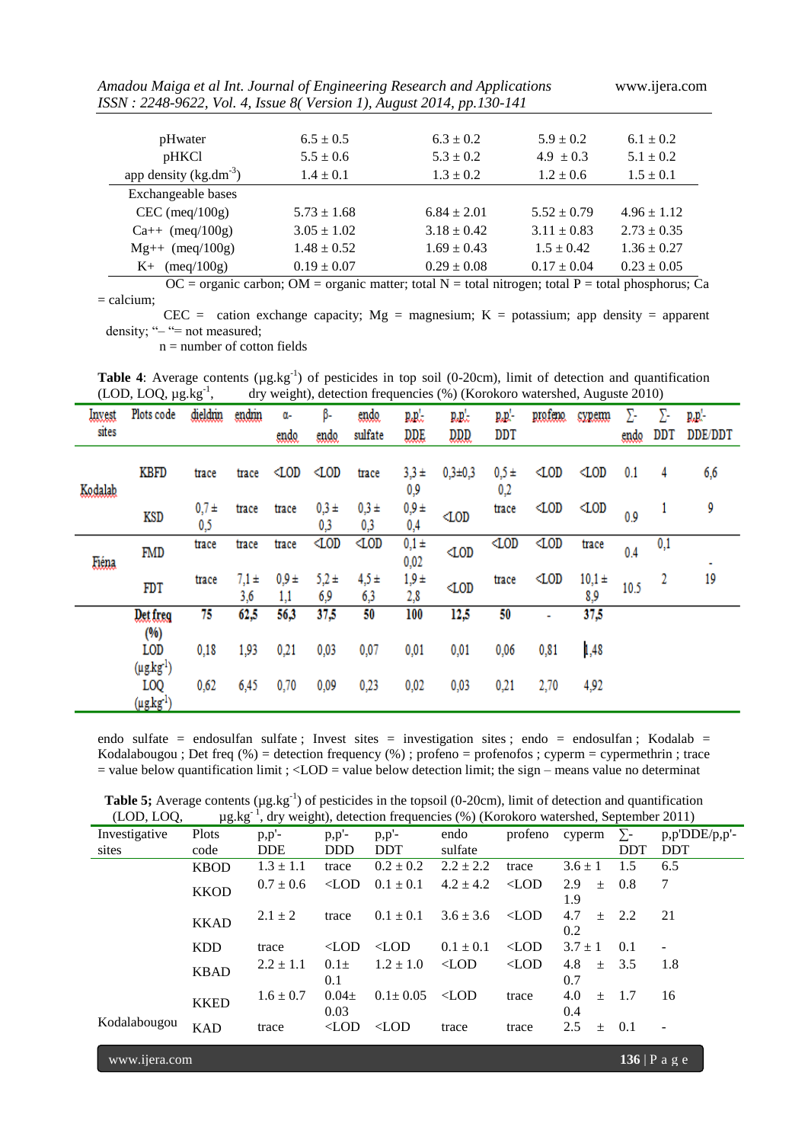*Amadou Maiga et al Int. Journal of Engineering Research and Applications* www.ijera.com *ISSN : 2248-9622, Vol. 4, Issue 8( Version 1), August 2014, pp.130-141* pHwater 6.5  $\pm$  0.5 6.3  $\pm$  0.2 5.9  $\pm$  0.2 6.1  $\pm$  0.2 pHKCl  $5.5 \pm 0.6$   $5.3 \pm 0.2$   $4.9 \pm 0.3$   $5.1 \pm 0.2$ app density  $(kg.dm<sup>-3</sup>)$  $1.4 \pm 0.1$   $1.3 \pm 0.2$   $1.2 \pm 0.6$   $1.5 \pm 0.1$ Exchangeable bases CEC (meq/100g)  $5.73 \pm 1.68$   $6.84 \pm 2.01$   $5.52 \pm 0.79$   $4.96 \pm 1.12$ Ca++ (meq/100g)  $3.05 \pm 1.02$   $3.18 \pm 0.42$   $3.11 \pm 0.83$   $2.73 \pm 0.35$  $Mg++$  (meq/100g) 1.48 ± 0.52 1.69 ± 0.43 1.5 ± 0.42 1.36 ± 0.27 K+ (meq/100g)  $0.19 \pm 0.07$   $0.29 \pm 0.08$   $0.17 \pm 0.04$   $0.23 \pm 0.05$ 

 $=$  calcium;

CEC = cation exchange capacity;  $Mg =$  magnesium; K = potassium; app density = apparent density; "- "= not measured;

 $OC =$  organic carbon;  $OM =$  organic matter; total  $N =$  total nitrogen; total  $P =$  total phosphorus;  $Ca$ 

 $n =$  number of cotton fields

Table 4: Average contents ( $\mu$ g.kg<sup>-1</sup>) of pesticides in top soil (0-20cm), limit of detection and quantification  $(LOD, LOQ, \mu g.kg^{-1})$ , , dry weight), detection frequencies (%) (Korokoro watershed, Auguste 2010)

| Invest  | Plots code                                    | dieldrin       | endrin           | α-             | β-               | endo.            | r.e.            | $\mathbf{R} \mathbf{R}$ | d.d.           | profeno.       | <b>SYREEM!</b>    | Σ-   | Σ-       | $R_{\rm B}P$ |
|---------|-----------------------------------------------|----------------|------------------|----------------|------------------|------------------|-----------------|-------------------------|----------------|----------------|-------------------|------|----------|--------------|
| sites   |                                               |                |                  | endo           | endo             | sulfate          | DDE             | <b>DDD</b>              | DDT            |                |                   | endo | DDT      | DDE/DDT      |
| Kodalah | KBFD                                          | trace          | trace            | $\triangle$ OD | $\triangle$ OD   | trace            | $3,3 +$<br>0,9  | $0,3\pm0,3$             | $0,5 +$<br>0,2 | $\triangle$ OD | $\triangle$ OD    | 0.1  | 4        | 6,6          |
|         | KSD                                           | $0,7 +$<br>0,5 | trace            | trace          | $0,3 +$<br>0,3   | $0,3 +$<br>0,3   | $0,9 +$<br>0,4  | 40D                     | trace          | $\triangle$ OD | $\triangle$ OD    | 0.9  |          | 9            |
| Eiéna   | FMD                                           | trace          | trace            | trace          | $\triangle$ OD   | $\triangle$ OD   | $0,1 +$<br>0,02 | 40D                     | $\triangle$ OD | $\triangle$ OD | trace             | 0.4  | $_{0,1}$ |              |
|         | <b>FDT</b>                                    | trace          | $7,1 \pm$<br>3,6 | $0,9 +$<br>1,1 | $5,2 \pm$<br>6,9 | $4.5 \pm$<br>6,3 | $1,9 +$<br>2,8  | 40D                     | trace          | $\triangle$ OD | $10,1 \pm$<br>8,9 | 10.5 | 2        | 19           |
|         | Det freg<br>(%)                               | 75             | 62,5             | 56,3           | 37,5             | 50               | 100             | 12,5                    | 50             |                | 37,5              |      |          |              |
|         | LOD                                           | 0,18           | 1,93             | 0,21           | 0,03             | 0,07             | 0,01            | 0,01                    | 0,06           | 0,81           | 1,48              |      |          |              |
|         | $(\mu g.kg^{-1})$<br>LOQ<br>$(\mu g.kg^{-1})$ | 0,62           | 6,45             | 0,70           | 0,09             | 0,23             | 0,02            | 0,03                    | 0,21           | 2,70           | 4,92              |      |          |              |

endo sulfate = endosulfan sulfate ; Invest sites = investigation sites ; endo = endosulfan ; Kodalab = Kodalabougou ; Det freq  $%$  = detection frequency  $%$  ; profeno = profenofos ; cyperm = cypermethrin ; trace  $=$  value below quantification limit ;  $\langle$ LOD  $=$  value below detection limit; the sign – means value no determinat

| (LOD, LOQ,    | $\mu$ g.kg <sup>-1</sup> , dry weight), detection frequencies (%) (Korokoro watershed, September 2011) |               |               |                |               |               |             |            |                          |  |  |
|---------------|--------------------------------------------------------------------------------------------------------|---------------|---------------|----------------|---------------|---------------|-------------|------------|--------------------------|--|--|
| Investigative | Plots                                                                                                  | $p, p'$ -     | $p,p'$ -      | $p,p'$ -       | endo          | profeno       | cyperm      | $\Sigma$ - | $p, p'DDE/p, p'$ -       |  |  |
| sites         | code                                                                                                   | <b>DDE</b>    | <b>DDD</b>    | <b>DDT</b>     | sulfate       |               |             | <b>DDT</b> | <b>DDT</b>               |  |  |
|               | <b>KBOD</b>                                                                                            | $1.3 \pm 1.1$ | trace         | $0.2 \pm 0.2$  | $2.2 \pm 2.2$ | trace         | $3.6 \pm 1$ | 1.5        | 6.5                      |  |  |
|               | <b>KKOD</b>                                                                                            | $0.7 \pm 0.6$ | $\langle$ LOD | $0.1 \pm 0.1$  | $4.2 \pm 4.2$ | $\langle$ LOD | 2.9<br>$+$  | 0.8        | 7                        |  |  |
|               |                                                                                                        |               |               |                |               |               | 1.9         |            |                          |  |  |
|               | <b>KKAD</b>                                                                                            | $2.1 \pm 2$   | trace         | $0.1 \pm 0.1$  | $3.6 \pm 3.6$ | $\langle$ LOD | 4.7<br>$+$  | 2.2        | 21                       |  |  |
|               |                                                                                                        |               |               |                |               |               | 0.2         |            |                          |  |  |
|               | <b>KDD</b>                                                                                             | trace         | $\langle$ LOD | $\langle$ LOD  | $0.1 \pm 0.1$ | $\langle$ LOD | $3.7 \pm 1$ | 0.1        |                          |  |  |
|               | <b>KBAD</b>                                                                                            | $2.2 \pm 1.1$ | $0.1 +$       | $1.2 \pm 1.0$  | $\langle$ LOD | $\langle$ LOD | 4.8<br>$+$  | 3.5        | 1.8                      |  |  |
|               |                                                                                                        |               | 0.1           |                |               |               | 0.7         |            |                          |  |  |
|               | <b>KKED</b>                                                                                            | $1.6 \pm 0.7$ | $0.04\pm$     | $0.1 \pm 0.05$ | $<$ LOD       | trace         | 4.0<br>$+$  | 1.7        | 16                       |  |  |
|               |                                                                                                        |               | 0.03          |                |               |               | 0.4         |            |                          |  |  |
| Kodalabougou  | <b>KAD</b>                                                                                             | trace         | $\langle$ LOD | $\langle$ LOD  | trace         | trace         | 2.5<br>$+$  | 0.1        | $\overline{\phantom{a}}$ |  |  |
|               |                                                                                                        |               |               |                |               |               |             |            |                          |  |  |

**Table 5;** Average contents  $(\mu g.kg^{-1})$  of pesticides in the topsoil (0-20cm), limit of detection and quantification  $(LOD, LOQ, \qquad \mu g.kg^{-1}$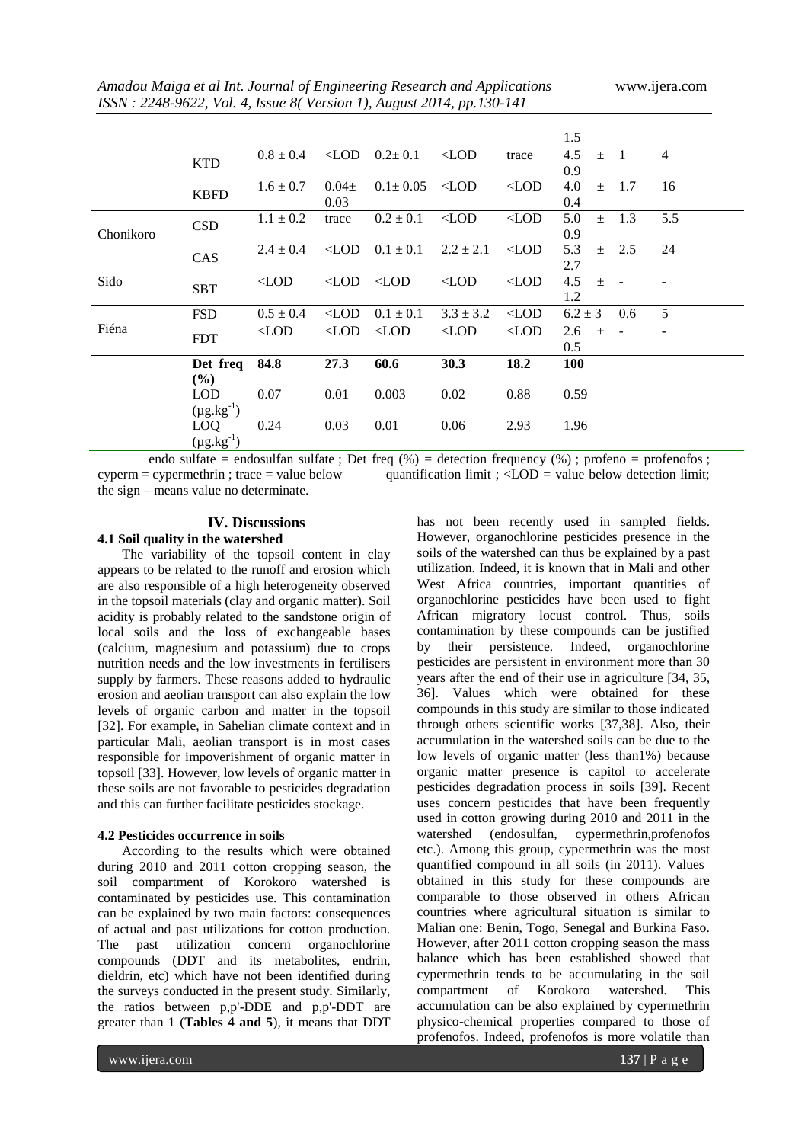|           |                                           |               |                   |                             |               |               | 1.5                                 |                |
|-----------|-------------------------------------------|---------------|-------------------|-----------------------------|---------------|---------------|-------------------------------------|----------------|
|           | <b>KTD</b>                                | $0.8 \pm 0.4$ |                   | $\angle$ LOD $0.2 \pm 0.1$  | $\langle$ LOD | trace         | 4.5<br>$\blacksquare$<br>$+$<br>0.9 | $\overline{4}$ |
|           | <b>KBFD</b>                               | $1.6 \pm 0.7$ | $0.04\pm$<br>0.03 | $0.1 \pm 0.05$              | $\langle$ LOD | $\langle$ LOD | 4.0<br>1.7<br>$\pm$<br>0.4          | 16             |
| Chonikoro | <b>CSD</b>                                | $1.1 \pm 0.2$ | trace             | $0.2 \pm 0.1$               | $\langle$ LOD | $\langle$ LOD | 1.3<br>5.0<br>$\pm$<br>0.9          | 5.5            |
|           | CAS                                       | $2.4 \pm 0.4$ | $<$ LOD           | $0.1 \pm 0.1$               | $2.2 \pm 2.1$ | $<$ LOD       | 5.3<br>2.5<br>$+$<br>2.7            | 24             |
| Sido      | <b>SBT</b>                                | $\langle$ LOD |                   | $\langle$ LOD $\langle$ LOD | $\langle$ LOD | $\langle$ LOD | 4.5<br>$\pm$<br>1.2                 |                |
|           | <b>FSD</b>                                | $0.5 \pm 0.4$ | $\langle$ LOD     | $0.1 \pm 0.1$               | $3.3 \pm 3.2$ | $\langle$ LOD | $6.2 \pm 3$<br>0.6                  | 5              |
| Fiéna     | <b>FDT</b>                                | $\langle$ LOD | $\langle$ LOD     | $<$ LOD                     | $\langle$ LOD | $\langle$ LOD | 2.6<br>$\pm$<br>0.5                 |                |
|           | Det freq                                  | 84.8          | 27.3              | 60.6                        | 30.3          | 18.2          | <b>100</b>                          |                |
|           | $(\%)$<br><b>LOD</b><br>$(\mu g.kg^{-1})$ | 0.07          | 0.01              | 0.003                       | 0.02          | 0.88          | 0.59                                |                |
|           | LOQ<br>$(\mu g.kg^{-1})$                  | 0.24          | 0.03              | 0.01                        | 0.06          | 2.93          | 1.96                                |                |

endo sulfate = endosulfan sulfate ; Det freq  $(\% )$  = detection frequency  $(\% )$  ; profeno = profenofos ;  $c<sub>cyperm</sub> = c<sub>yc</sub> experiment (or  $c<sub>0</sub>$ ) = c<sub>yc</sub> direction (or  $c<sub>0</sub>$ ) = c<sub>yc</sub> direction (or  $c<sub>0</sub>$ ) is$ the sign – means value no determinate.

# **IV. Discussions**

# **4.1 Soil quality in the watershed**

The variability of the topsoil content in clay appears to be related to the runoff and erosion which are also responsible of a high heterogeneity observed in the topsoil materials (clay and organic matter). Soil acidity is probably related to the sandstone origin of local soils and the loss of exchangeable bases (calcium, magnesium and potassium) due to crops nutrition needs and the low investments in fertilisers supply by farmers. These reasons added to hydraulic erosion and aeolian transport can also explain the low levels of organic carbon and matter in the topsoil [32]. For example, in Sahelian climate context and in particular Mali, aeolian transport is in most cases responsible for impoverishment of organic matter in topsoil [33]. However, low levels of organic matter in these soils are not favorable to pesticides degradation and this can further facilitate pesticides stockage.

## **4.2 Pesticides occurrence in soils**

According to the results which were obtained during 2010 and 2011 cotton cropping season, the soil compartment of Korokoro watershed is contaminated by pesticides use. This contamination can be explained by two main factors: consequences of actual and past utilizations for cotton production. The past utilization concern organochlorine compounds (DDT and its metabolites, endrin, dieldrin, etc) which have not been identified during the surveys conducted in the present study. Similarly, the ratios between p,p'-DDE and p,p'-DDT are greater than 1 (**Tables 4 and 5**), it means that DDT

has not been recently used in sampled fields. However, organochlorine pesticides presence in the soils of the watershed can thus be explained by a past utilization. Indeed, it is known that in Mali and other West Africa countries, important quantities of organochlorine pesticides have been used to fight African migratory locust control. Thus, soils contamination by these compounds can be justified by their persistence. Indeed, organochlorine pesticides are persistent in environment more than 30 years after the end of their use in agriculture [34, 35, 36]. Values which were obtained for these compounds in this study are similar to those indicated through others scientific works [37,38]. Also, their accumulation in the watershed soils can be due to the low levels of organic matter (less than1%) because organic matter presence is capitol to accelerate pesticides degradation process in soils [39]. Recent uses concern pesticides that have been frequently used in cotton growing during 2010 and 2011 in the watershed (endosulfan, cypermethrin,profenofos etc.). Among this group, cypermethrin was the most quantified compound in all soils (in 2011). Values obtained in this study for these compounds are comparable to those observed in others African countries where agricultural situation is similar to Malian one: Benin, Togo, Senegal and Burkina Faso. However, after 2011 cotton cropping season the mass balance which has been established showed that cypermethrin tends to be accumulating in the soil compartment of Korokoro watershed. This accumulation can be also explained by cypermethrin physico-chemical properties compared to those of profenofos. Indeed, profenofos is more volatile than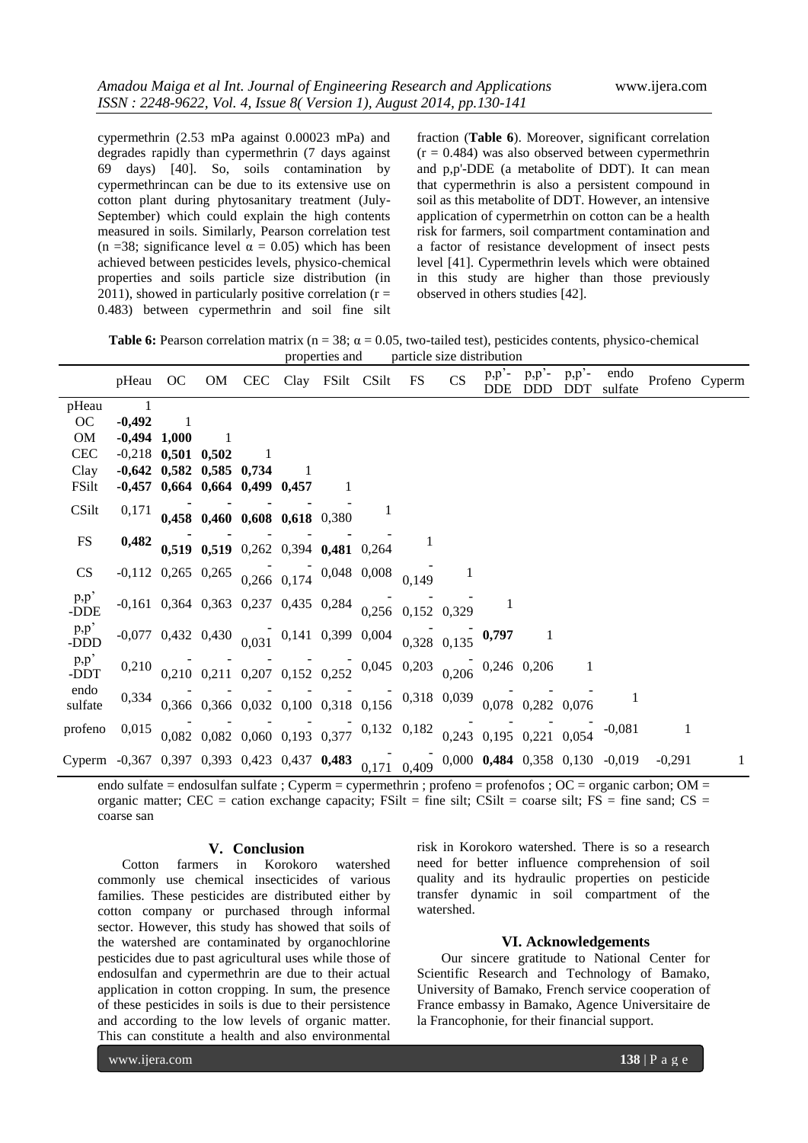cypermethrin (2.53 mPa against 0.00023 mPa) and degrades rapidly than cypermethrin (7 days against 69 days) [40]. So, soils contamination by cypermethrincan can be due to its extensive use on cotton plant during phytosanitary treatment (July-September) which could explain the high contents measured in soils. Similarly, Pearson correlation test (n =38; significance level  $\alpha = 0.05$ ) which has been achieved between pesticides levels, physico-chemical properties and soils particle size distribution (in 2011), showed in particularly positive correlation ( $r =$ 0.483) between cypermethrin and soil fine silt

fraction (**Table 6**). Moreover, significant correlation  $(r = 0.484)$  was also observed between cypermethrin and p,p'-DDE (a metabolite of DDT). It can mean that cypermethrin is also a persistent compound in soil as this metabolite of DDT. However, an intensive application of cypermetrhin on cotton can be a health risk for farmers, soil compartment contamination and a factor of resistance development of insect pests level [41]. Cypermethrin levels which were obtained in this study are higher than those previously observed in others studies [42].

**Table 6:** Pearson correlation matrix ( $n = 38$ ;  $\alpha = 0.05$ , two-tailed test), pesticides contents, physico-chemical properties and particle size distribution

|                                                                                        | pHeau OC OM CEC Clay FSilt CSilt FS                                |                            |                                                                           |  |  | CS | $p, p'$ -<br><b>DDE</b> | $p,p^2$ -<br>DDD | $p,p'$ -<br><b>DDT</b> | endo<br>sulfate |          | Profeno Cyperm |
|----------------------------------------------------------------------------------------|--------------------------------------------------------------------|----------------------------|---------------------------------------------------------------------------|--|--|----|-------------------------|------------------|------------------------|-----------------|----------|----------------|
| pHeau                                                                                  |                                                                    |                            |                                                                           |  |  |    |                         |                  |                        |                 |          |                |
| OC                                                                                     | $-0,492$                                                           |                            |                                                                           |  |  |    |                         |                  |                        |                 |          |                |
| OM                                                                                     | $-0,494$ 1,000                                                     |                            |                                                                           |  |  |    |                         |                  |                        |                 |          |                |
| <b>CEC</b>                                                                             | $-0,218$ 0,501 0,502                                               |                            |                                                                           |  |  |    |                         |                  |                        |                 |          |                |
| Clay                                                                                   |                                                                    | $-0,642$ 0,582 0,585 0,734 |                                                                           |  |  |    |                         |                  |                        |                 |          |                |
| FSilt                                                                                  |                                                                    |                            | $-0,457$ 0,664 0,664 0,499 0,457                                          |  |  |    |                         |                  |                        |                 |          |                |
| CSilt                                                                                  |                                                                    |                            | $0,171$ 0,458 0,460 0,608 0,618 0,380                                     |  |  |    |                         |                  |                        |                 |          |                |
|                                                                                        |                                                                    |                            |                                                                           |  |  |    |                         |                  |                        |                 |          |                |
| <b>FS</b>                                                                              |                                                                    |                            | $0,482$ 0.519 0.519 0.262 0.394 0.481 0.264                               |  |  |    |                         |                  |                        |                 |          |                |
| CS                                                                                     | $-0,112$ 0,265 0,265 0,266 0,174 0,048 0,008 0,149                 |                            |                                                                           |  |  |    |                         |                  |                        |                 |          |                |
| p, p'<br>-DDE                                                                          | $-0,161$ 0,364 0,363 0,237 0,435 0,284 0,256 0,152 0,329           |                            |                                                                           |  |  |    |                         |                  |                        |                 |          |                |
| p, p'<br>-DDD                                                                          | $-0.077$ 0.432 0.430 $0.031$ 0.141 0.399 0.004 $0.328$ 0.135 0.797 |                            |                                                                           |  |  |    |                         |                  |                        |                 |          |                |
| p,p'<br>-DDT                                                                           |                                                                    |                            | $0,210$ 0,210 0,211 0,207 0,152 0,252 0,045 0,203 0,206 0,246 0,206       |  |  |    |                         |                  |                        |                 |          |                |
| endo<br>sulfate                                                                        |                                                                    |                            | $0,334$ 0,366 0,366 0,032 0,100 0,318 0,156 0,318 0,039 0,078 0,282 0,076 |  |  |    |                         |                  |                        |                 |          |                |
| profeno                                                                                | 0,015                                                              |                            | $0.082$ 0.082 0.060 0.193 0.377 0.132 0.182 0.243 0.195 0.221 0.054       |  |  |    |                         |                  |                        | $-0,081$        | 1        |                |
| Cyperm -0,367 0,397 0,393 0,423 0,437 0,483 0,171 0,409 0,000 0,484 0,358 0,130 -0,019 |                                                                    |                            |                                                                           |  |  |    |                         |                  |                        |                 | $-0,291$ |                |

endo sulfate = endosulfan sulfate ; Cyperm = cypermethrin ; profeno = profenofos ; OC = organic carbon; OM = organic matter; CEC = cation exchange capacity; FSilt = fine silt; CSilt = coarse silt; FS = fine sand; CS = coarse san

#### **V. Conclusion**

Cotton farmers in Korokoro watershed commonly use chemical insecticides of various families. These pesticides are distributed either by cotton company or purchased through informal sector. However, this study has showed that soils of the watershed are contaminated by organochlorine pesticides due to past agricultural uses while those of endosulfan and cypermethrin are due to their actual application in cotton cropping. In sum, the presence of these pesticides in soils is due to their persistence and according to the low levels of organic matter. This can constitute a health and also environmental

risk in Korokoro watershed. There is so a research need for better influence comprehension of soil quality and its hydraulic properties on pesticide transfer dynamic in soil compartment of the watershed.

# **VI. Acknowledgements**

Our sincere gratitude to National Center for Scientific Research and Technology of Bamako, University of Bamako, French service cooperation of France embassy in Bamako, Agence Universitaire de la Francophonie, for their financial support.

www.ijera.com **138** | P a g e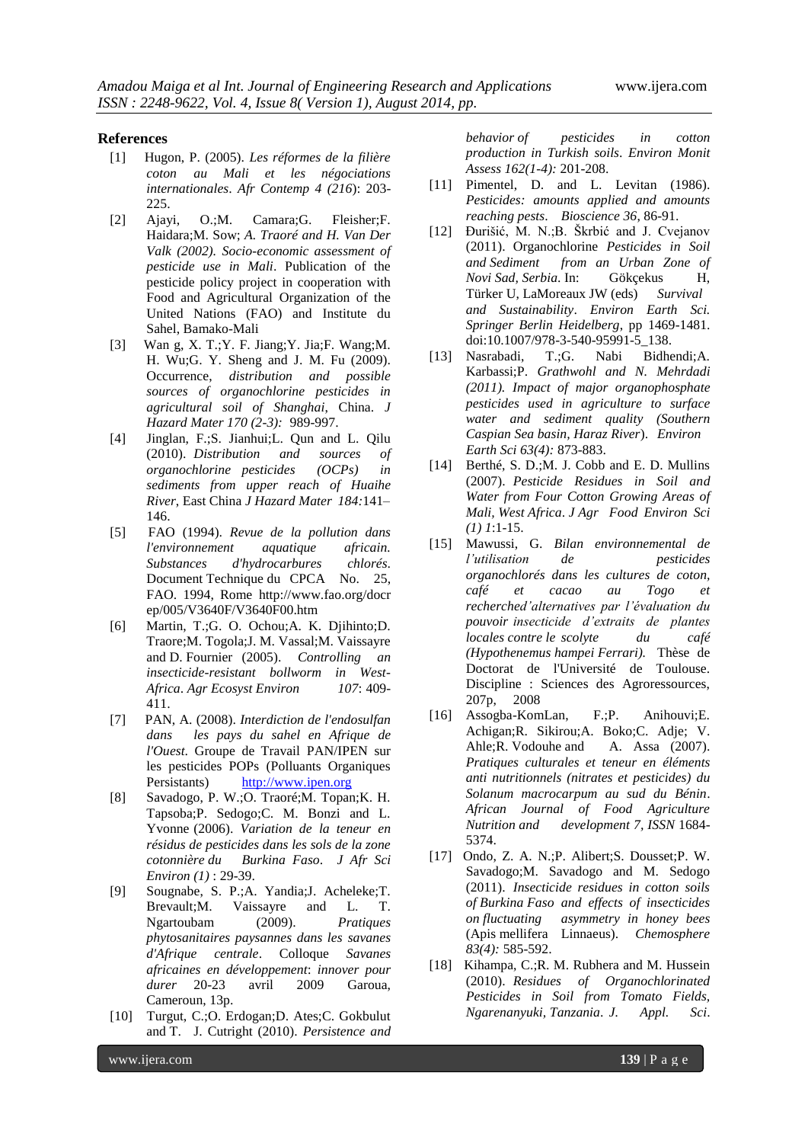#### **References**

- [1] Hugon, P. (2005). *Les réformes de la filière coton au Mali et les négociations internationales*. *Afr Contemp 4 (216*): 203- 225.
- [2] Ajayi, O.;M. Camara;G. Fleisher;F. Haidara;M. Sow; *A. Traoré and H. Van Der Valk (2002). Socio-economic assessment of pesticide use in Mali*. Publication of the pesticide policy project in cooperation with Food and Agricultural Organization of the United Nations (FAO) and Institute du Sahel, Bamako-Mali
- [3] Wan g, X. T.;Y. F. Jiang;Y. Jia;F. Wang;M. H. Wu;G. Y. Sheng and J. M. Fu (2009). Occurrence, *distribution and possible sources of organochlorine pesticides in agricultural soil of Shanghai*, China. *J Hazard Mater 170 (2-3):* 989-997.
- [4] Jinglan, F.;S. Jianhui;L. Qun and L. Qilu (2010). *Distribution and sources of organochlorine pesticides (OCPs) in sediments from upper reach of Huaihe River*, East China *J Hazard Mater 184:*141– 146.
- [5] FAO (1994). *Revue de la pollution dans l'environnement aquatique africain. Substances d'hydrocarbures chlorés*. Document Technique du CPCA No. 25, FAO. 1994, Rome http://www.fao.org/docr ep/005/V3640F/V3640F00.htm
- [6] Martin, T.;G. O. Ochou;A. K. Djihinto;D. Traore;M. Togola;J. M. Vassal;M. Vaissayre and D. Fournier (2005). *Controlling an insecticide-resistant bollworm in West-Africa*. *Agr Ecosyst Environ 107*: 409- 411.
- [7] PAN, A. (2008). *Interdiction de l'endosulfan dans les pays du sahel en Afrique de l'Ouest*. Groupe de Travail PAN/IPEN sur les pesticides POPs (Polluants Organiques Persistants) [http://www.ipen.org](http://www.ipen.org/)
- [8] Savadogo, P. W.;O. Traoré;M. Topan;K. H. Tapsoba;P. Sedogo;C. M. Bonzi and L. Yvonne (2006). *Variation de la teneur en résidus de pesticides dans les sols de la zone cotonnière du Burkina Faso*. *J Afr Sci Environ (1)* : 29-39.
- [9] Sougnabe, S. P.;A. Yandia;J. Acheleke;T. Brevault;M. Vaissayre and L. T. Ngartoubam (2009). *Pratiques phytosanitaires paysannes dans les savanes d'Afrique centrale*. Colloque *Savanes africaines en développement*: *innover pour durer* 20-23 avril 2009 Garoua, Cameroun, 13p.
- [10] Turgut, C.;O. Erdogan;D. Ates;C. Gokbulut and T. J. Cutright (2010). *Persistence and*

*behavior of pesticides in cotton production in Turkish soils*. *Environ Monit Assess 162(1-4):* 201-208.

- [11] Pimentel, D. and L. Levitan (1986). *Pesticides: amounts applied and amounts reaching pests*. *Bioscience 36*, 86-91.
- [12] Ðurišić, M. N.;B. Škrbić and J. Cvejanov (2011). Organochlorine *Pesticides in Soil and Sediment from an Urban Zone of Novi Sad, Serbia*. In: Gökçekus H, Türker U, LaMoreaux JW (eds) *Survival and Sustainability*. *Environ Earth Sci. Springer Berlin Heidelberg*, pp 1469-1481. doi:10.1007/978-3-540-95991-5\_138.
- [13] Nasrabadi, T.;G. Nabi Bidhendi;A. Karbassi;P. *Grathwohl and N. Mehrdadi (2011). Impact of major organophosphate pesticides used in agriculture to surface water and sediment quality (Southern Caspian Sea basin, Haraz River*). *Environ Earth Sci 63(4):* 873-883.
- [14] Berthé, S. D.; M. J. Cobb and E. D. Mullins (2007). *Pesticide Residues in Soil and Water from Four Cotton Growing Areas of Mali, West Africa*. *J Agr Food Environ Sci (1) 1*:1-15.
- [15] Mawussi, G. *Bilan environnemental de l'utilisation de pesticides organochlorés dans les cultures de coton, café et cacao au Togo et recherched'alternatives par l'évaluation du pouvoir insecticide d'extraits de plantes locales contre le scolyte du café (Hypothenemus hampei Ferrari).* Thèse de Doctorat de l'Université de Toulouse. Discipline : Sciences des Agroressources, 207p, 2008
- [16] Assogba-KomLan, F.;P. Anihouvi;E. Achigan;R. Sikirou;A. Boko;C. Adje; V. Ahle;R. Vodouhe and A. Assa (2007). *Pratiques culturales et teneur en éléments anti nutritionnels (nitrates et pesticides) du Solanum macrocarpum au sud du Bénin*. *African Journal of Food Agriculture Nutrition and development 7, ISSN* 1684- 5374.
- [17] Ondo, Z. A. N.;P. Alibert;S. Dousset;P. W. Savadogo;M. Savadogo and M. Sedogo (2011). *Insecticide residues in cotton soils of Burkina Faso and effects of insecticides on fluctuating asymmetry in honey bees* (Apis mellifera Linnaeus). *Chemosphere 83(4):* 585-592.
- [18] Kihampa, C.;R. M. Rubhera and M. Hussein (2010). *Residues of Organochlorinated Pesticides in Soil from Tomato Fields, Ngarenanyuki, Tanzania*. *J. Appl. Sci*.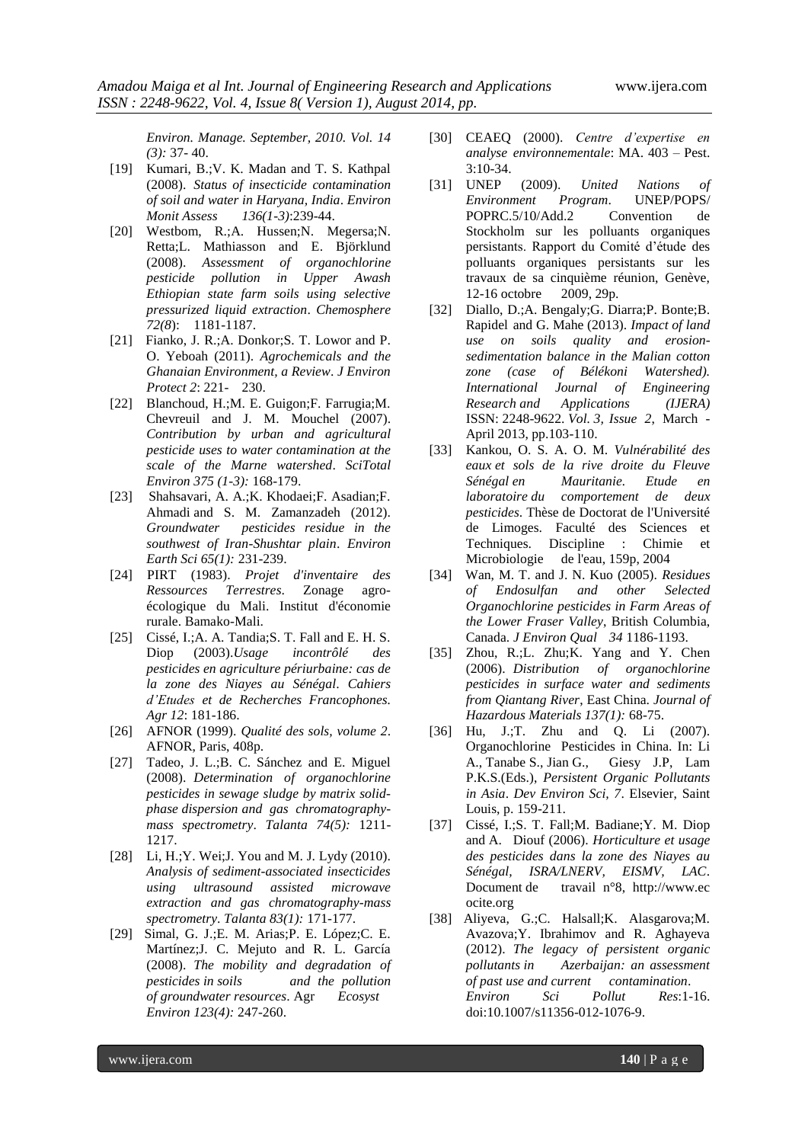*Environ. Manage. September, 2010. Vol. 14 (3):* 37- 40.

- [19] Kumari, B.;V. K. Madan and T. S. Kathpal (2008). *Status of insecticide contamination of soil and water in Haryana, India*. *Environ Monit Assess 136(1-3)*:239-44.
- [20] Westbom, R.;A. Hussen;N. Megersa;N. Retta;L. Mathiasson and E. Björklund (2008). *Assessment of organochlorine pesticide pollution in Upper Awash Ethiopian state farm soils using selective pressurized liquid extraction*. *Chemosphere 72(8*): 1181-1187.
- [21] Fianko, J. R.; A. Donkor; S. T. Lowor and P. O. Yeboah (2011). *Agrochemicals and the Ghanaian Environment, a Review*. *J Environ Protect 2*: 221- 230.
- [22] Blanchoud, H.;M. E. Guigon;F. Farrugia;M. Chevreuil and J. M. Mouchel (2007). *Contribution by urban and agricultural pesticide uses to water contamination at the scale of the Marne watershed*. *SciTotal Environ 375 (1-3):* 168-179.
- [23] Shahsavari, A. A.;K. Khodaei;F. Asadian;F. Ahmadi and S. M. Zamanzadeh (2012). *Groundwater pesticides residue in the southwest of Iran-Shushtar plain*. *Environ Earth Sci 65(1):* 231-239.
- [24] PIRT (1983). *Projet d'inventaire des Ressources Terrestres*. Zonage agroécologique du Mali. Institut d'économie rurale. Bamako-Mali.
- [25] Cissé, I.;A. A. Tandia;S. T. Fall and E. H. S. Diop (2003).*Usage incontrôlé des pesticides en agriculture périurbaine: cas de la zone des Niayes au Sénégal*. *Cahiers d'Etudes et de Recherches Francophones. Agr 12*: 181-186.
- [26] AFNOR (1999). *Qualité des sols, volume 2*. AFNOR, Paris, 408p.
- [27] Tadeo, J. L.;B. C. Sánchez and E. Miguel (2008). *Determination of organochlorine pesticides in sewage sludge by matrix solidphase dispersion and gas chromatographymass spectrometry*. *Talanta 74(5):* 1211- 1217.
- [28] Li, H.; Y. Wei; J. You and M. J. Lydy (2010). *Analysis of sediment-associated insecticides using ultrasound assisted microwave extraction and gas chromatography-mass spectrometry*. *Talanta 83(1):* 171-177.
- [29] Simal, G. J.;E. M. Arias;P. E. López;C. E. Martínez;J. C. Mejuto and R. L. García (2008). *The mobility and degradation of pesticides in soils and the pollution of groundwater resources*. Agr *Ecosyst Environ 123(4):* 247-260.
- [30] CEAEQ (2000). *Centre d'expertise en analyse environnementale*: MA. 403 – Pest. 3:10-34.
- [31] UNEP (2009). *United Nations of Environment Program*. UNEP/POPS/ POPRC.5/10/Add.2 Convention de Stockholm sur les polluants organiques persistants. Rapport du Comité d'étude des polluants organiques persistants sur les travaux de sa cinquième réunion, Genève, 12-16 octobre 2009, 29p.
- [32] Diallo, D.;A. Bengaly;G. Diarra;P. Bonte;B. Rapidel and G. Mahe (2013). *Impact of land use on soils quality and erosionsedimentation balance in the Malian cotton zone (case of Bélékoni Watershed). International Journal of Engineering Research and Applications (IJERA)* ISSN: 2248-9622. *Vol. 3, Issue 2*, March - April 2013, pp.103-110.
- [33] Kankou, O. S. A. O. M. *Vulnérabilité des eaux et sols de la rive droite du Fleuve Sénégal en Mauritanie. Etude en laboratoire du comportement de deux pesticides*. Thèse de Doctorat de l'Université de Limoges. Faculté des Sciences et Techniques. Discipline : Chimie Microbiologie de l'eau, 159p, 2004
- [34] Wan, M. T. and J. N. Kuo (2005). *Residues of Endosulfan and other Selected Organochlorine pesticides in Farm Areas of the Lower Fraser Valley*, British Columbia, Canada. *J Environ Qual 34* 1186-1193.
- [35] Zhou, R.;L. Zhu;K. Yang and Y. Chen (2006). *Distribution of organochlorine pesticides in surface water and sediments from Qiantang River*, East China. *Journal of Hazardous Materials 137(1):* 68-75.
- [36] Hu, J.;T. Zhu and Q. Li (2007). Organochlorine Pesticides in China. In: Li A., Tanabe S., Jian G., Giesy J.P, Lam P.K.S.(Eds.), *Persistent Organic Pollutants in Asia*. *Dev Environ Sci, 7*. Elsevier, Saint Louis, p. 159-211.
- [37] Cissé, I.;S. T. Fall;M. Badiane;Y. M. Diop and A. Diouf (2006). *Horticulture et usage des pesticides dans la zone des Niayes au Sénégal, ISRA/LNERV, EISMV, LAC*. Document de travail n°8, http://www.ec ocite.org
- [38] Aliyeva, G.;C. Halsall; K. Alasgarova; M. Avazova;Y. Ibrahimov and R. Aghayeva (2012). *The legacy of persistent organic pollutants in Azerbaijan: an assessment of past use and current contamination*. *Environ Sci Pollut Res*:1-16. doi:10.1007/s11356-012-1076-9.